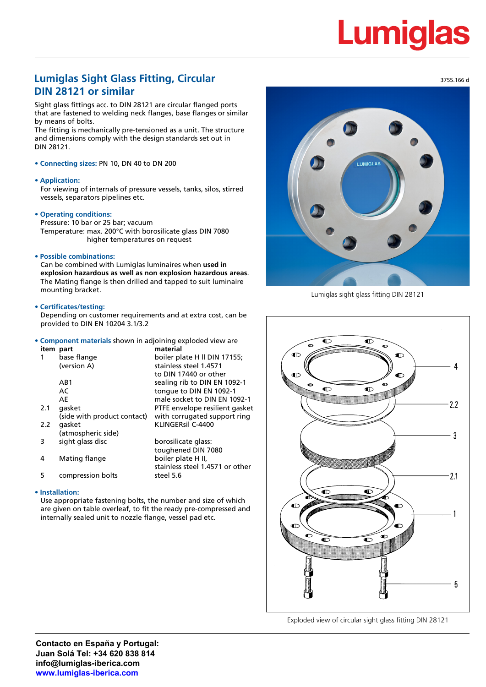# Lumiq

### **Lumiglas Sight Glass Fitting, Circular DIN 28121 or similar**

Sight glass fittings acc. to DIN 28121 are circular flanged ports that are fastened to welding neck flanges, base flanges or similar by means of bolts.

The fitting is mechanically pre-tensioned as a unit. The structure and dimensions comply with the design standards set out in DIN 28121.

#### **• Connecting sizes:** PN 10, DN 40 to DN 200

#### **• Application:**

For viewing of internals of pressure vessels, tanks, silos, stirred vessels, separators pipelines etc.

#### **• Operating conditions:**

Pressure: 10 bar or 25 bar; vacuum Temperature: max. 200°C with borosilicate glass DIN 7080 higher temperatures on request

#### **• Possible combinations:**

Can be combined with Lumiglas luminaires when **used in explosion hazardous as well as non explosion hazardous areas**. The Mating flange is then drilled and tapped to suit luminaire mounting bracket.

#### **• Certificates/testing:**

Depending on customer requirements and at extra cost, can be provided to DIN EN 10204 3.1/3.2

#### **• Component materials** shown in adjoining exploded view are **item part material**

| 1   | base flange                 | boiler plate H II DIN 17155;    |  |  |  |
|-----|-----------------------------|---------------------------------|--|--|--|
|     | (version A)                 | stainless steel 1.4571          |  |  |  |
|     |                             | to DIN 17440 or other           |  |  |  |
|     | AB1                         | sealing rib to DIN EN 1092-1    |  |  |  |
|     | AC                          | tonque to DIN EN 1092-1         |  |  |  |
|     | AE                          | male socket to DIN EN 1092-1    |  |  |  |
| 2.1 | qasket                      | PTFE envelope resilient gasket  |  |  |  |
|     | (side with product contact) | with corrugated support ring    |  |  |  |
| 2.2 | qasket                      | KLINGERsil C-4400               |  |  |  |
|     | (atmospheric side)          |                                 |  |  |  |
|     | sight glass disc            | borosilicate glass:             |  |  |  |
|     |                             | toughened DIN 7080              |  |  |  |
| 4   | Mating flange               | boiler plate H II,              |  |  |  |
|     |                             | stainless steel 1.4571 or other |  |  |  |

5 compression bolts steel 5.6

#### **• Installation:**

Use appropriate fastening bolts, the number and size of which are given on table overleaf, to fit the ready pre-compressed and internally sealed unit to nozzle flange, vessel pad etc.



Lumiglas sight glass fitting DIN 28121



Exploded view of circular sight glass fitting DIN 28121

3755.166 d